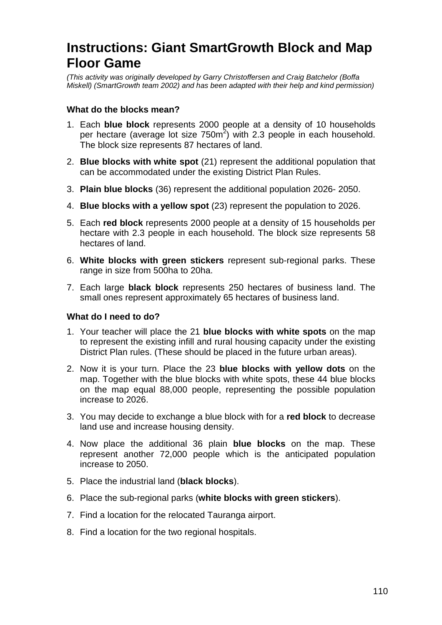# **Instructions: Giant SmartGrowth Block and Map Floor Game**

(This activity was originally developed by Garry Christoffersen and Craig Batchelor (Boffa Miskell) (SmartGrowth team 2002) and has been adapted with their help and kind permission)

# **What do the blocks mean?**

- 1. Each **blue block** represents 2000 people at a density of 10 households per hectare (average lot size  $750m^2$ ) with 2.3 people in each household. The block size represents 87 hectares of land.
- 2. **Blue blocks with white spot** (21) represent the additional population that can be accommodated under the existing District Plan Rules.
- 3. **Plain blue blocks** (36) represent the additional population 2026- 2050.
- 4. **Blue blocks with a yellow spot** (23) represent the population to 2026.
- 5. Each **red block** represents 2000 people at a density of 15 households per hectare with 2.3 people in each household. The block size represents 58 hectares of land.
- 6. **White blocks with green stickers** represent sub-regional parks. These range in size from 500ha to 20ha.
- 7. Each large **black block** represents 250 hectares of business land. The small ones represent approximately 65 hectares of business land.

### **What do I need to do?**

- 1. Your teacher will place the 21 **blue blocks with white spots** on the map to represent the existing infill and rural housing capacity under the existing District Plan rules. (These should be placed in the future urban areas).
- 2. Now it is your turn. Place the 23 **blue blocks with yellow dots** on the map. Together with the blue blocks with white spots, these 44 blue blocks on the map equal 88,000 people, representing the possible population increase to 2026.
- 3. You may decide to exchange a blue block with for a **red block** to decrease land use and increase housing density.
- 4. Now place the additional 36 plain **blue blocks** on the map. These represent another 72,000 people which is the anticipated population increase to 2050.
- 5. Place the industrial land (**black blocks**).
- 6. Place the sub-regional parks (**white blocks with green stickers**).
- 7. Find a location for the relocated Tauranga airport.
- 8. Find a location for the two regional hospitals.